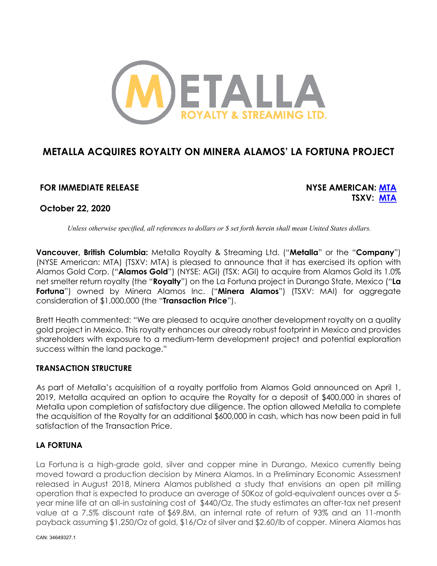

# **METALLA ACQUIRES ROYALTY ON MINERA ALAMOS' LA FORTUNA PROJECT**

## **FOR IMMEDIATE RELEASE NYSE AMERICAN: MTA**

**TSXV: MTA**

**October 22, 2020**

*Unless otherwise specified, all references to dollars or \$ set forth herein shall mean United States dollars.*

**Vancouver, British Columbia:** Metalla Royalty & Streaming Ltd. ("**Metalla**" or the "**Company**") (NYSE American: MTA) (TSXV: MTA) is pleased to announce that it has exercised its option with Alamos Gold Corp. ("**Alamos Gold**") (NYSE: AGI) (TSX: AGI) to acquire from Alamos Gold its 1.0% net smelter return royalty (the "**Royalty**") on the La Fortuna project in Durango State, Mexico ("**La Fortuna**") owned by Minera Alamos Inc. ("**Minera Alamos**") (TSXV: MAI) for aggregate consideration of \$1,000,000 (the "**Transaction Price**").

Brett Heath commented: "We are pleased to acquire another development royalty on a quality gold project in Mexico. This royalty enhances our already robust footprint in Mexico and provides shareholders with exposure to a medium-term development project and potential exploration success within the land package."

### **TRANSACTION STRUCTURE**

As part of Metalla's acquisition of a royalty portfolio from Alamos Gold announced on April 1, 2019, Metalla acquired an option to acquire the Royalty for a deposit of \$400,000 in shares of Metalla upon completion of satisfactory due diligence. The option allowed Metalla to complete the acquisition of the Royalty for an additional \$600,000 in cash, which has now been paid in full satisfaction of the Transaction Price.

### **LA FORTUNA**

La Fortuna is a high-grade gold, silver and copper mine in Durango, Mexico currently being moved toward a production decision by Minera Alamos. In a Preliminary Economic Assessment released in August 2018, Minera Alamos published a study that envisions an open pit milling operation that is expected to produce an average of 50Koz of gold-equivalent ounces over a 5 year mine life at an all-in sustaining cost of \$440/Oz. The study estimates an after-tax net present value at a 7.5% discount rate of \$69.8M, an internal rate of return of 93% and an 11-month payback assuming \$1,250/Oz of gold, \$16/Oz of silver and \$2.60/lb of copper. Minera Alamos has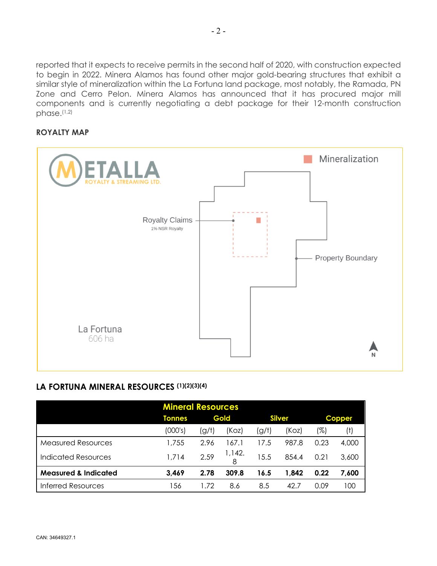reported that it expects to receive permits in the second half of 2020, with construction expected to begin in 2022. Minera Alamos has found other major gold-bearing structures that exhibit a similar style of mineralization within the La Fortuna land package, most notably, the Ramada, PN Zone and Cerro Pelon. Minera Alamos has announced that it has procured major mill components and is currently negotiating a debt package for their 12-month construction phase.(1,2)

#### **ROYALTY MAP**



### LA FORTUNA MINERAL RESOURCES (1)(2)(3)(4)

| <b>Mineral Resources</b>        |               |       |        |               |       |               |       |
|---------------------------------|---------------|-------|--------|---------------|-------|---------------|-------|
|                                 | <b>Tonnes</b> | Gold  |        | <b>Silver</b> |       | <b>Copper</b> |       |
|                                 | (000's)       | (g/t) | (Koz)  | (g/t)         | (Koz) | (%)           | (†)   |
| <b>Measured Resources</b>       | 1,755         | 2.96  | 67.1   | 17.5          | 987.8 | 0.23          | 4,000 |
| <b>Indicated Resources</b>      | 1,714         | 2.59  | 1,142. | 15.5          | 854.4 | 0.21          | 3,600 |
| <b>Measured &amp; Indicated</b> | 3,469         | 2.78  | 309.8  | 16.5          | 1,842 | 0.22          | 7,600 |
| <b>Inferred Resources</b>       | -56           | 172   | 8.6    | 8.5           | 42.7  | 0.09          | 100   |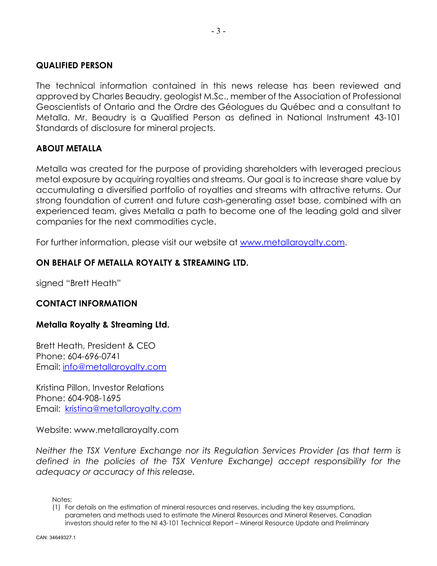#### **QUALIFIED PERSON**

The technical information contained in this news release has been reviewed and approved by Charles Beaudry, geologist M.Sc., member of the Association of Professional Geoscientists of Ontario and the Ordre des Géologues du Québec and a consultant to Metalla. Mr. Beaudry is a Qualified Person as defined in National Instrument 43-101 Standards of disclosure for mineral projects.

### **ABOUT METALLA**

Metalla was created for the purpose of providing shareholders with leveraged precious metal exposure by acquiring royalties and streams. Our goal is to increase share value by accumulating a diversified portfolio of royalties and streams with attractive returns. Our strong foundation of current and future cash-generating asset base, combined with an experienced team, gives Metalla a path to become one of the leading gold and silver companies for the next commodities cycle.

For further information, please visit our website at www.metallaroyalty.com.

## **ON BEHALF OF METALLA ROYALTY & STREAMING LTD.**

signed "Brett Heath"

### **CONTACT INFORMATION**

### **Metalla Royalty & Streaming Ltd.**

Brett Heath, President & CEO Phone: 604-696-0741 Email: info@metallaroyalty.com

Kristina Pillon, Investor Relations Phone: 604-908-1695 Email: kristina@metallaroyalty.com

Website: www.metallaroyalty.com

*Neither the TSX Venture Exchange nor its Regulation Services Provider (as that term is defined in the policies of the TSX Venture Exchange) accept responsibility for the adequacy or accuracy of this release.* 

Notes:

<sup>(1)</sup> For details on the estimation of mineral resources and reserves, including the key assumptions, parameters and methods used to estimate the Mineral Resources and Mineral Reserves, Canadian investors should refer to the NI 43-101 Technical Report – Mineral Resource Update and Preliminary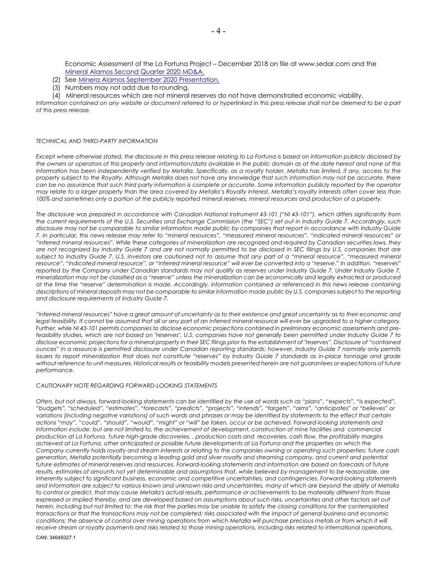Economic Assessment of the La Fortuna Project – December 2018 on file at www.sedar.com and the Mineral Alamos Second Quarter 2020 MD&A.

- (2) See Minera Alamos September 2020 Presentation.
- (3) Numbers may not add due to rounding.
- (4) Mineral resources which are not mineral reserves do not have demonstrated economic viability.

*Information contained on any website or document referred to or hyperlinked in this press release shall not be deemed to be a part of this press release.*

#### *TECHNICAL AND THIRD-PARTY INFORMATION*

*Except where otherwise stated, the disclosure in this press release relating to La Fortuna is based on information publicly disclosed by the owners or operators of this property and information/data available in the public domain as at the date hereof and none of this information has been independently verified by Metalla. Specifically, as a royalty holder, Metalla has limited, if any, access to the property subject to the Royalty. Although Metalla does not have any knowledge that such information may not be accurate, there can be no assurance that such third party information is complete or accurate. Some information publicly reported by the operator may relate to a larger property than the area covered by Metalla's Royalty interest. Metalla's royalty interests often cover less than 100% and sometimes only a portion of the publicly reported mineral reserves, mineral resources and production of a property.*

*The disclosure was prepared in accordance with Canadian National Instrument 43-101 ("NI 43-101"), which differs significantly from the current requirements of the U.S. Securities and Exchange Commission (the "SEC") set out in Industry Guide 7. Accordingly, such disclosure may not be comparable to similar information made public by companies that report in accordance with Industry Guide 7. In particular, this news release may refer to "mineral resources", "measured mineral resources", "indicated mineral resources" or "inferred mineral resources". While these categories of mineralization are recognized and required by Canadian securities laws, they are not recognized by Industry Guide 7 and are not normally permitted to be disclosed in SEC filings by U.S. companies that are subject to Industry Guide 7. U.S. investors are cautioned not to assume that any part of a "mineral resource", "measured mineral resource", "indicated mineral resource", or "inferred mineral resource" will ever be converted into a "reserve." In addition, "reserves" reported by the Company under Canadian standards may not qualify as reserves under Industry Guide 7. Under Industry Guide 7, mineralization may not be classified as a "reserve" unless the mineralization can be economically and legally extracted or produced at the time the "reserve" determination is made. Accordingly, information contained or referenced in this news release containing*  descriptions of mineral deposits may not be comparable to similar information made public by U.S. companies subject to the reporting *and disclosure requirements of Industry Guide 7.*

*"Inferred mineral resources" have a great amount of uncertainty as to their existence and great uncertainty as to their economic and*  legal feasibility. It cannot be assumed that all or any part of an inferred mineral resource will ever be upgraded to a higher category. *Further, while NI 43-101 permits companies to disclose economic projections contained in preliminary economic assessments and prefeasibility studies, which are not based on "reserves", U.S. companies have not generally been permitted under Industry Guide 7 to disclose economic projections for a mineral property in their SEC filings prior to the establishment of "reserves". Disclosure of "contained ounces" in a resource is permitted disclosure under Canadian reporting standards; however, Industry Guide 7 normally only permits issuers to report mineralization that does not constitute "reserves" by Industry Guide 7 standards as in-place tonnage and grade without reference to unit measures. Historical results or feasibility models presented herein are not guarantees or expectations of future performance.*

#### *CAUTIONARY NOTE REGARDING FORWARD-LOOKING STATEMENTS*

*Often, but not always, forward-looking statements can be identified by the use of words such as "plans", "expects", "is expected", "budgets", "scheduled", "estimates", "forecasts", "predicts", "projects", "intends", "targets", "aims", "anticipates" or "believes" or variations (including negative variations) of such words and phrases or may be identified by statements to the effect that certain actions "may", "could", "should", "would", "might" or "will" be taken, occur or be achieved. Forward-looking statements and information include, but are not limited to, the achievement of development, construction of mine facilities and commercial production at La Fortuna, future high-grade discoveries, , production costs and recoveries, cash flow, the profitability margins achieved at La Fortuna, other anticipated or possible future developments at La Fortuna and the properties on which the Company currently holds royalty and stream interests or relating to the companies owning or operating such properties; future cash generation, Metalla potentially becoming a leading gold and silver royalty and streaming company, and current and potential future estimates of mineral reserves and resources. Forward-looking statements and information are based on forecasts of future*  results, estimates of amounts not yet determinable and assumptions that, while believed by management to be reasonable, are *inherently subject to significant business, economic and competitive uncertainties, and contingencies. Forward-looking statements and information are subject to various known and unknown risks and uncertainties, many of which are beyond the ability of Metalla to control or predict, that may cause Metalla's actual results, performance or achievements to be materially different from those expressed or implied thereby, and are developed based on assumptions about such risks, uncertainties and other factors set out herein, including but not limited to: the risk that the parties may be unable to satisfy the closing conditions for the contemplated transactions or that the transactions may not be completed; risks associated with the impact of general business and economic* conditions; the absence of control over mining operations from which Metalla will purchase precious metals or from which it will *receive stream or royalty payments and risks related to those mining operations, including risks related to international operations,*